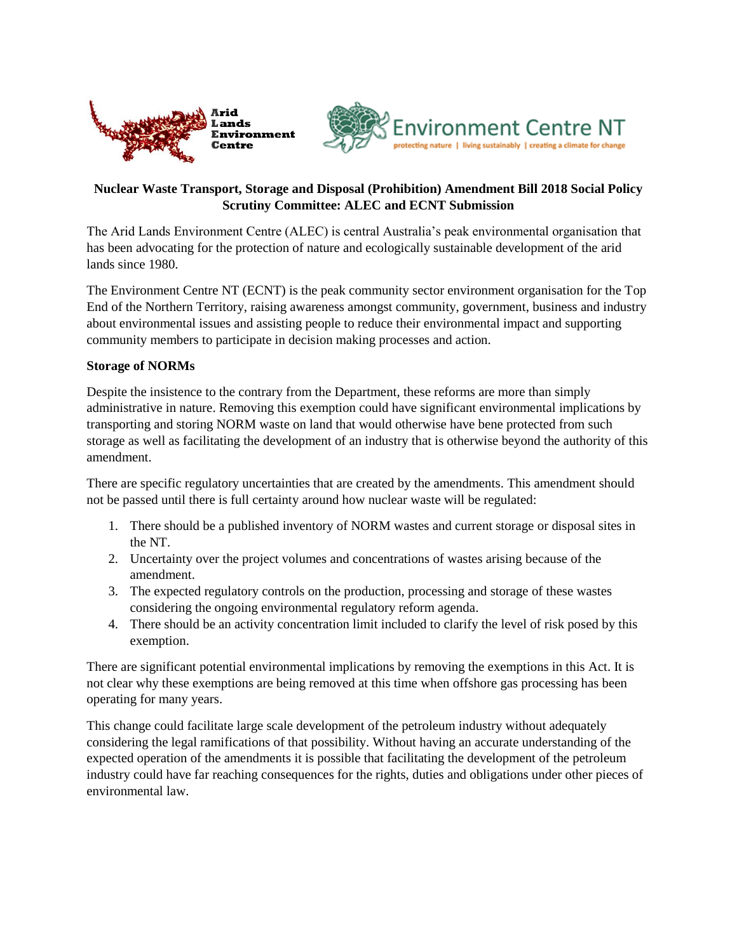



## **Nuclear Waste Transport, Storage and Disposal (Prohibition) Amendment Bill 2018 Social Policy Scrutiny Committee: ALEC and ECNT Submission**

The Arid Lands Environment Centre (ALEC) is central Australia's peak environmental organisation that has been advocating for the protection of nature and ecologically sustainable development of the arid lands since 1980.

The Environment Centre NT (ECNT) is the peak community sector environment organisation for the Top End of the Northern Territory, raising awareness amongst community, government, business and industry about environmental issues and assisting people to reduce their environmental impact and supporting community members to participate in decision making processes and action.

## **Storage of NORMs**

Despite the insistence to the contrary from the Department, these reforms are more than simply administrative in nature. Removing this exemption could have significant environmental implications by transporting and storing NORM waste on land that would otherwise have bene protected from such storage as well as facilitating the development of an industry that is otherwise beyond the authority of this amendment.

There are specific regulatory uncertainties that are created by the amendments. This amendment should not be passed until there is full certainty around how nuclear waste will be regulated:

- 1. There should be a published inventory of NORM wastes and current storage or disposal sites in the NT.
- 2. Uncertainty over the project volumes and concentrations of wastes arising because of the amendment.
- 3. The expected regulatory controls on the production, processing and storage of these wastes considering the ongoing environmental regulatory reform agenda.
- 4. There should be an activity concentration limit included to clarify the level of risk posed by this exemption.

There are significant potential environmental implications by removing the exemptions in this Act. It is not clear why these exemptions are being removed at this time when offshore gas processing has been operating for many years.

This change could facilitate large scale development of the petroleum industry without adequately considering the legal ramifications of that possibility. Without having an accurate understanding of the expected operation of the amendments it is possible that facilitating the development of the petroleum industry could have far reaching consequences for the rights, duties and obligations under other pieces of environmental law.